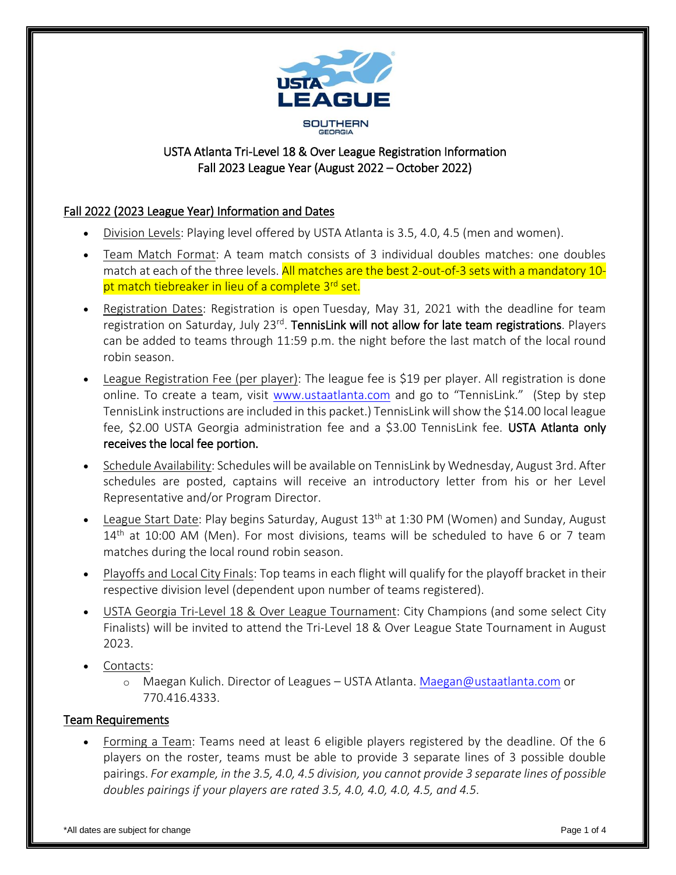

# USTA Atlanta Tri-Level 18 & Over League Registration Information Fall 2023 League Year (August 2022 – October 2022)

# Fall 2022 (2023 League Year) Information and Dates

- Division Levels: Playing level offered by USTA Atlanta is 3.5, 4.0, 4.5 (men and women).
- Team Match Format: A team match consists of 3 individual doubles matches: one doubles match at each of the three levels. All matches are the best 2-out-of-3 sets with a mandatory 10pt match tiebreaker in lieu of a complete 3<sup>rd</sup> set.
- Registration Dates: Registration is open Tuesday, May 31, 2021 with the deadline for team registration on Saturday, July 23<sup>rd</sup>. TennisLink will not allow for late team registrations. Players can be added to teams through 11:59 p.m. the night before the last match of the local round robin season.
- League Registration Fee (per player): The league fee is \$19 per player. All registration is done online. To create a team, visit [www.ustaatlanta.com](http://www.ustaatlanta.com/) and go to "TennisLink." (Step by step TennisLink instructions are included in this packet.) TennisLink will show the \$14.00 local league fee, \$2.00 USTA Georgia administration fee and a \$3.00 TennisLink fee. USTA Atlanta only receives the local fee portion.
- Schedule Availability: Schedules will be available on TennisLink by Wednesday, August 3rd. After schedules are posted, captains will receive an introductory letter from his or her Level Representative and/or Program Director.
- League Start Date: Play begins Saturday, August 13<sup>th</sup> at 1:30 PM (Women) and Sunday, August 14<sup>th</sup> at 10:00 AM (Men). For most divisions, teams will be scheduled to have 6 or 7 team matches during the local round robin season.
- Playoffs and Local City Finals: Top teams in each flight will qualify for the playoff bracket in their respective division level (dependent upon number of teams registered).
- USTA Georgia Tri-Level 18 & Over League Tournament: City Champions (and some select City Finalists) will be invited to attend the Tri-Level 18 & Over League State Tournament in August 2023.
- Contacts:
	- o Maegan Kulich. Director of Leagues USTA Atlanta. [Maegan@ustaatlanta.com](mailto:Maegan@ustaatlanta.com) or 770.416.4333.

### Team Requirements

 Forming a Team: Teams need at least 6 eligible players registered by the deadline. Of the 6 players on the roster, teams must be able to provide 3 separate lines of 3 possible double pairings. *For example, in the 3.5, 4.0, 4.5 division, you cannot provide 3 separate lines of possible doubles pairings if your players are rated 3.5, 4.0, 4.0, 4.0, 4.5, and 4.5.*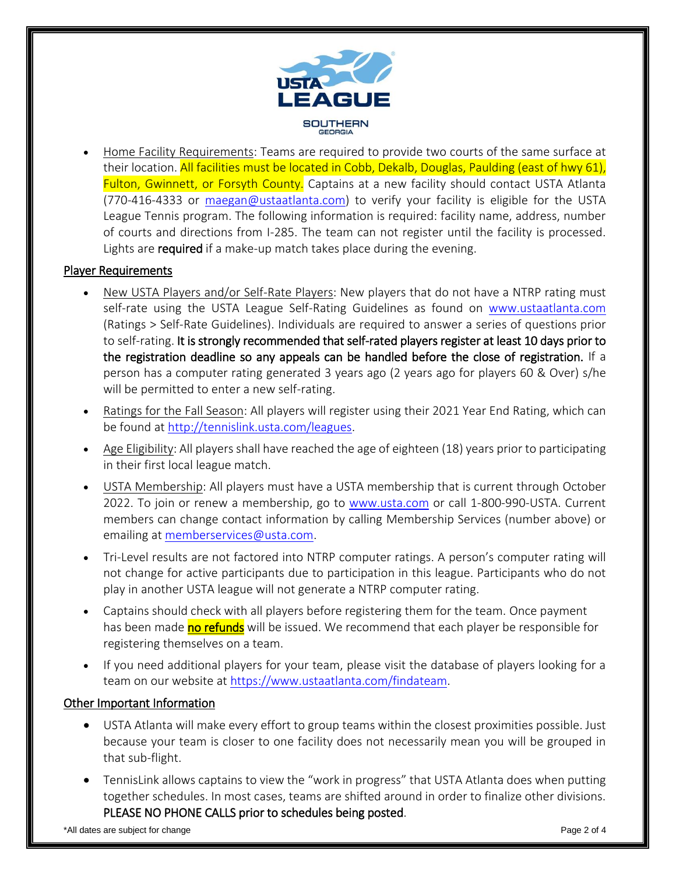

 Home Facility Requirements: Teams are required to provide two courts of the same surface at their location. All facilities must be located in Cobb, Dekalb, Douglas, Paulding (east of hwy 61), Fulton, Gwinnett, or Forsyth County. Captains at a new facility should contact USTA Atlanta (770-416-4333 or [maegan@ustaatlanta.com\)](mailto:maegan@ustaatlanta.com) to verify your facility is eligible for the USTA League Tennis program. The following information is required: facility name, address, number of courts and directions from I-285. The team can not register until the facility is processed. Lights are required if a make-up match takes place during the evening.

### Player Requirements

- New USTA Players and/or Self-Rate Players: New players that do not have a NTRP rating must self-rate using the USTA League Self-Rating Guidelines as found on [www.ustaatlanta.com](http://www.ustaatlanta.com/) (Ratings > Self-Rate Guidelines). Individuals are required to answer a series of questions prior to self-rating. It is strongly recommended that self-rated players register at least 10 days prior to the registration deadline so any appeals can be handled before the close of registration. If a person has a computer rating generated 3 years ago (2 years ago for players 60 & Over) s/he will be permitted to enter a new self-rating.
- Ratings for the Fall Season: All players will register using their 2021 Year End Rating, which can be found at [http://tennislink.usta.com/leagues.](http://tennislink.usta.com/leagues)
- Age Eligibility: All players shall have reached the age of eighteen (18) years prior to participating in their first local league match.
- USTA Membership: All players must have a USTA membership that is current through October 2022. To join or renew a membership, go to [www.usta.com](http://www.usta.com/) or call 1-800-990-USTA. Current members can change contact information by calling Membership Services (number above) or emailing at [memberservices@usta.com.](mailto:memberservices@usta.com)
- Tri-Level results are not factored into NTRP computer ratings. A person's computer rating will not change for active participants due to participation in this league. Participants who do not play in another USTA league will not generate a NTRP computer rating.
- Captains should check with all players before registering them for the team. Once payment has been made no refunds will be issued. We recommend that each player be responsible for registering themselves on a team.
- If you need additional players for your team, please visit the database of players looking for a team on our website at [https://www.ustaatlanta.com/findateam.](https://www.ustaatlanta.com/findateam)

#### Other Important Information

- USTA Atlanta will make every effort to group teams within the closest proximities possible. Just because your team is closer to one facility does not necessarily mean you will be grouped in that sub-flight.
- TennisLink allows captains to view the "work in progress" that USTA Atlanta does when putting together schedules. In most cases, teams are shifted around in order to finalize other divisions. PLEASE NO PHONE CALLS prior to schedules being posted.

\*All dates are subject for change  $\blacksquare$  and  $\blacksquare$  and  $\blacksquare$  are  $\blacksquare$  and  $\blacksquare$  and  $\blacksquare$  and  $\blacksquare$  and  $\blacksquare$  and  $\blacksquare$  and  $\blacksquare$  and  $\blacksquare$  and  $\blacksquare$  and  $\blacksquare$  and  $\blacksquare$  and  $\blacksquare$  and  $\blacksquare$  and  $\blacksquare$  and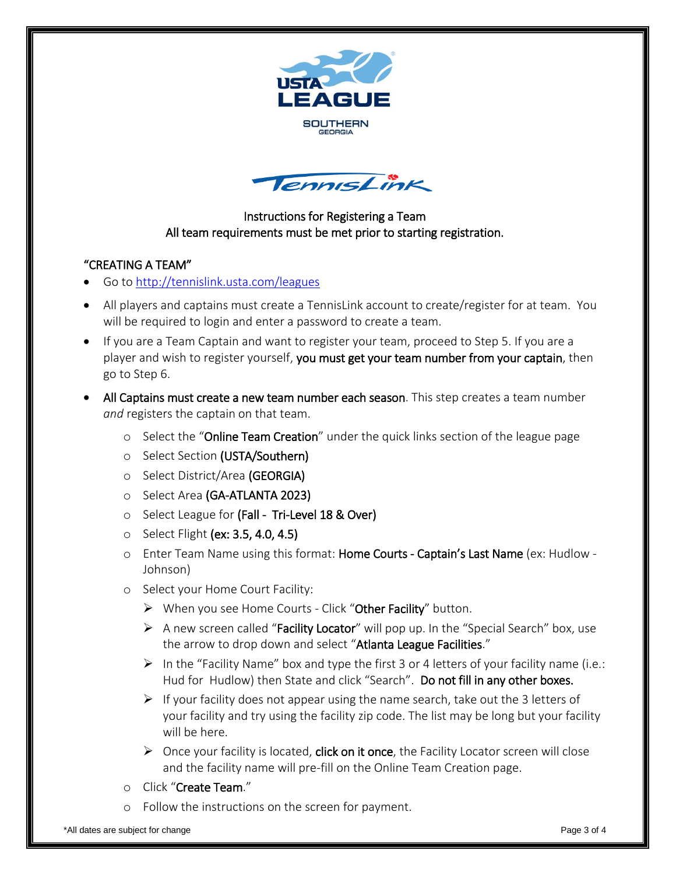



# Instructions for Registering a Team All team requirements must be met prior to starting registration.

# "CREATING A TEAM"

- Go to<http://tennislink.usta.com/leagues>
- All players and captains must create a TennisLink account to create/register for at team. You will be required to login and enter a password to create a team.
- If you are a Team Captain and want to register your team, proceed to Step 5. If you are a player and wish to register yourself, you must get your team number from your captain, then go to Step 6.
- All Captains must create a new team number each season. This step creates a team number *and* registers the captain on that team.
	- o Select the "Online Team Creation" under the quick links section of the league page
	- o Select Section (USTA/Southern)
	- o Select District/Area (GEORGIA)
	- o Select Area (GA-ATLANTA 2023)
	- o Select League for (Fall Tri-Level 18 & Over)
	- o Select Flight (ex: 3.5, 4.0, 4.5)
	- o Enter Team Name using this format: Home Courts Captain's Last Name (ex: Hudlow Johnson)
	- o Select your Home Court Facility:
		- $\triangleright$  When you see Home Courts Click "Other Facility" button.
		- $\triangleright$  A new screen called "Facility Locator" will pop up. In the "Special Search" box, use the arrow to drop down and select "Atlanta League Facilities."
		- In the "Facility Name" box and type the first 3 or 4 letters of your facility name (i.e.: Hud for Hudlow) then State and click "Search". Do not fill in any other boxes.
		- $\triangleright$  If your facility does not appear using the name search, take out the 3 letters of your facility and try using the facility zip code. The list may be long but your facility will be here.
		- $\triangleright$  Once your facility is located, **click on it once**, the Facility Locator screen will close and the facility name will pre-fill on the Online Team Creation page.
	- o Click "Create Team."
	- o Follow the instructions on the screen for payment.